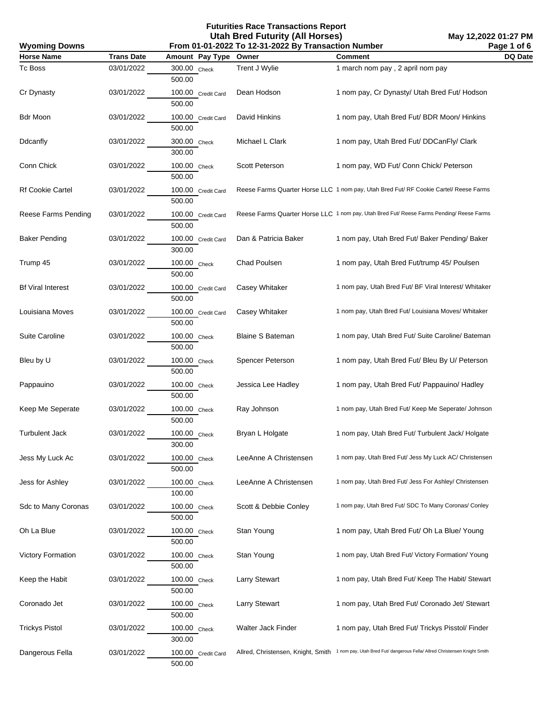**May 12,2022 01:27 PM Page 1 of 6**

| <b>Wyoming Downs</b><br>From 01-01-2022 To 12-31-2022 By Transaction Number |                   |                              |                         |                                                                                                               | Page 1 of 6 |
|-----------------------------------------------------------------------------|-------------------|------------------------------|-------------------------|---------------------------------------------------------------------------------------------------------------|-------------|
| <b>Horse Name</b>                                                           | <b>Trans Date</b> | Amount Pay Type              | Owner                   | <b>Comment</b>                                                                                                | DQ Date     |
| Tc Boss                                                                     | 03/01/2022        | 300.00 Check<br>500.00       | Trent J Wylie           | 1 march nom pay, 2 april nom pay                                                                              |             |
| Cr Dynasty                                                                  | 03/01/2022        | 100.00 Credit Card<br>500.00 | Dean Hodson             | 1 nom pay, Cr Dynasty/ Utah Bred Fut/ Hodson                                                                  |             |
| Bdr Moon                                                                    | 03/01/2022        | 100.00 Credit Card<br>500.00 | David Hinkins           | 1 nom pay, Utah Bred Fut/ BDR Moon/ Hinkins                                                                   |             |
| Ddcanfly                                                                    | 03/01/2022        | 300.00 Check<br>300.00       | Michael L Clark         | 1 nom pay, Utah Bred Fut/ DDCanFly/ Clark                                                                     |             |
| Conn Chick                                                                  | 03/01/2022        | 100.00 Check<br>500.00       | Scott Peterson          | 1 nom pay, WD Fut/ Conn Chick/ Peterson                                                                       |             |
| Rf Cookie Cartel                                                            | 03/01/2022        | 100.00 Credit Card<br>500.00 |                         | Reese Farms Quarter Horse LLC 1 nom pay, Utah Bred Fut/ RF Cookie Cartel/ Reese Farms                         |             |
| Reese Farms Pending                                                         | 03/01/2022        | 100.00 Credit Card<br>500.00 |                         | Reese Farms Quarter Horse LLC 1 nom pay, Utah Bred Fut/ Reese Farms Pending/ Reese Farms                      |             |
| <b>Baker Pending</b>                                                        | 03/01/2022        | 100.00 Credit Card<br>300.00 | Dan & Patricia Baker    | 1 nom pay, Utah Bred Fut/ Baker Pending/ Baker                                                                |             |
| Trump 45                                                                    | 03/01/2022        | 100.00 Check<br>500.00       | Chad Poulsen            | 1 nom pay, Utah Bred Fut/trump 45/ Poulsen                                                                    |             |
| <b>Bf Viral Interest</b>                                                    | 03/01/2022        | 100.00 Credit Card<br>500.00 | Casey Whitaker          | 1 nom pay, Utah Bred Fut/ BF Viral Interest/ Whitaker                                                         |             |
| Louisiana Moves                                                             | 03/01/2022        | 100.00 Credit Card<br>500.00 | Casey Whitaker          | 1 nom pay, Utah Bred Fut/ Louisiana Moves/ Whitaker                                                           |             |
| <b>Suite Caroline</b>                                                       | 03/01/2022        | 100.00 Check<br>500.00       | <b>Blaine S Bateman</b> | 1 nom pay, Utah Bred Fut/ Suite Caroline/ Bateman                                                             |             |
| Bleu by U                                                                   | 03/01/2022        | 100.00 Check<br>500.00       | Spencer Peterson        | 1 nom pay, Utah Bred Fut/ Bleu By U/ Peterson                                                                 |             |
| Pappauino                                                                   | 03/01/2022        | 100.00 Check<br>500.00       | Jessica Lee Hadley      | 1 nom pay, Utah Bred Fut/ Pappauino/ Hadley                                                                   |             |
| Keep Me Seperate                                                            | 03/01/2022        | 100.00 Check<br>500.00       | Ray Johnson             | 1 nom pay, Utah Bred Fut/ Keep Me Seperate/ Johnson                                                           |             |
| <b>Turbulent Jack</b>                                                       | 03/01/2022        | 100.00 Check<br>300.00       | Bryan L Holgate         | 1 nom pay, Utah Bred Fut/ Turbulent Jack/ Holgate                                                             |             |
| Jess My Luck Ac                                                             | 03/01/2022        | 100.00 Check<br>500.00       | LeeAnne A Christensen   | 1 nom pay, Utah Bred Fut/ Jess My Luck AC/ Christensen                                                        |             |
| Jess for Ashley                                                             | 03/01/2022        | 100.00 Check<br>100.00       | LeeAnne A Christensen   | 1 nom pay, Utah Bred Fut/ Jess For Ashley/ Christensen                                                        |             |
| Sdc to Many Coronas                                                         | 03/01/2022        | 100.00 Check<br>500.00       | Scott & Debbie Conley   | 1 nom pay, Utah Bred Fut/ SDC To Many Coronas/ Conley                                                         |             |
| Oh La Blue                                                                  | 03/01/2022        | 100.00 Check<br>500.00       | Stan Young              | 1 nom pay, Utah Bred Fut/ Oh La Blue/ Young                                                                   |             |
| <b>Victory Formation</b>                                                    | 03/01/2022        | 100.00 Check<br>500.00       | Stan Young              | 1 nom pay, Utah Bred Fut/ Victory Formation/ Young                                                            |             |
| Keep the Habit                                                              | 03/01/2022        | 100.00 Check<br>500.00       | <b>Larry Stewart</b>    | 1 nom pay, Utah Bred Fut/ Keep The Habit/ Stewart                                                             |             |
| Coronado Jet                                                                | 03/01/2022        | 100.00 Check<br>500.00       | <b>Larry Stewart</b>    | 1 nom pay, Utah Bred Fut/ Coronado Jet/ Stewart                                                               |             |
| <b>Trickys Pistol</b>                                                       | 03/01/2022        | 100.00 Check<br>300.00       | Walter Jack Finder      | 1 nom pay, Utah Bred Fut/ Trickys Pisstol/ Finder                                                             |             |
| Dangerous Fella                                                             | 03/01/2022        | 100.00 Credit Card<br>500.00 |                         | Allred, Christensen, Knight, Smith 1 nom pay, Utah Bred Fut/ dangerous Fella/ Allred Christensen Knight Smith |             |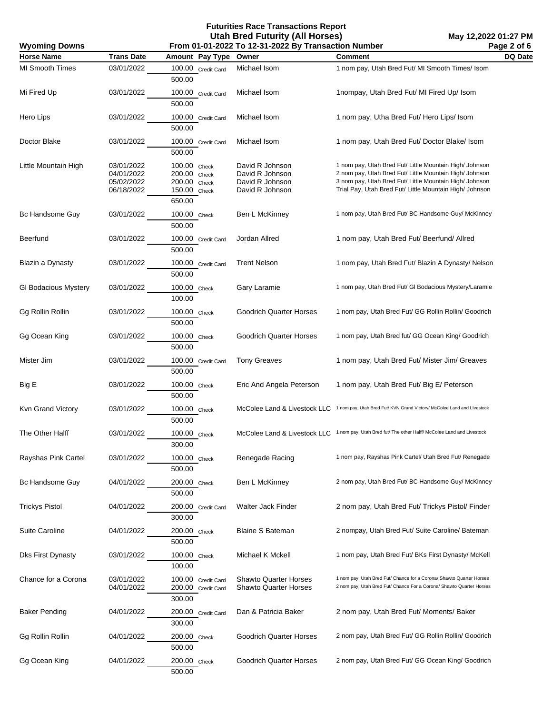| <b>Wyoming Downs</b>        | Page 2 of 6<br>From 01-01-2022 To 12-31-2022 By Transaction Number |                                                                           |                                                                          |                                                                                                                                                                                                                                          |         |
|-----------------------------|--------------------------------------------------------------------|---------------------------------------------------------------------------|--------------------------------------------------------------------------|------------------------------------------------------------------------------------------------------------------------------------------------------------------------------------------------------------------------------------------|---------|
| <b>Horse Name</b>           | <b>Trans Date</b>                                                  | Amount Pay Type                                                           | Owner                                                                    | <b>Comment</b>                                                                                                                                                                                                                           | DQ Date |
| <b>MI Smooth Times</b>      | 03/01/2022                                                         | 100.00 Credit Card<br>500.00                                              | Michael Isom                                                             | 1 nom pay, Utah Bred Fut/ MI Smooth Times/ Isom                                                                                                                                                                                          |         |
| Mi Fired Up                 | 03/01/2022                                                         | 100.00 Credit Card<br>500.00                                              | Michael Isom                                                             | 1nompay, Utah Bred Fut/ MI Fired Up/ Isom                                                                                                                                                                                                |         |
| Hero Lips                   | 03/01/2022                                                         | 100.00 Credit Card<br>500.00                                              | Michael Isom                                                             | 1 nom pay, Utha Bred Fut/ Hero Lips/ Isom                                                                                                                                                                                                |         |
| Doctor Blake                | 03/01/2022                                                         | 100.00 Credit Card<br>500.00                                              | Michael Isom                                                             | 1 nom pay, Utah Bred Fut/ Doctor Blake/ Isom                                                                                                                                                                                             |         |
| Little Mountain High        | 03/01/2022<br>04/01/2022<br>05/02/2022<br>06/18/2022               | 100.00 Check<br>200.00<br>Check<br>200.00 Check<br>150.00 Check<br>650.00 | David R Johnson<br>David R Johnson<br>David R Johnson<br>David R Johnson | 1 nom pay, Utah Bred Fut/ Little Mountain High/ Johnson<br>2 nom pay, Utah Bred Fut/ Little Mountain High/ Johnson<br>3 nom pay, Utah Bred Fut/ Little Mountain High/ Johnson<br>Trial Pay, Utah Bred Fut/ Little Mountain High/ Johnson |         |
| Bc Handsome Guy             | 03/01/2022                                                         | 100.00 Check<br>500.00                                                    | Ben L McKinney                                                           | 1 nom pay, Utah Bred Fut/ BC Handsome Guy/ McKinney                                                                                                                                                                                      |         |
| Beerfund                    | 03/01/2022                                                         | 100.00 Credit Card<br>500.00                                              | Jordan Allred                                                            | 1 nom pay, Utah Bred Fut/ Beerfund/ Allred                                                                                                                                                                                               |         |
| Blazin a Dynasty            | 03/01/2022                                                         | 100.00 Credit Card<br>500.00                                              | <b>Trent Nelson</b>                                                      | 1 nom pay, Utah Bred Fut/ Blazin A Dynasty/ Nelson                                                                                                                                                                                       |         |
| <b>GI Bodacious Mystery</b> | 03/01/2022                                                         | 100.00 Check<br>100.00                                                    | Gary Laramie                                                             | 1 nom pay, Utah Bred Fut/ GI Bodacious Mystery/Laramie                                                                                                                                                                                   |         |
| Gg Rollin Rollin            | 03/01/2022                                                         | 100.00 Check<br>500.00                                                    | <b>Goodrich Quarter Horses</b>                                           | 1 nom pay, Utah Bred Fut/ GG Rollin Rollin/ Goodrich                                                                                                                                                                                     |         |
| Gg Ocean King               | 03/01/2022                                                         | 100.00 Check<br>500.00                                                    | <b>Goodrich Quarter Horses</b>                                           | 1 nom pay, Utah Bred fut/ GG Ocean King/ Goodrich                                                                                                                                                                                        |         |
| Mister Jim                  | 03/01/2022                                                         | 100.00 Credit Card<br>500.00                                              | <b>Tony Greaves</b>                                                      | 1 nom pay, Utah Bred Fut/ Mister Jim/ Greaves                                                                                                                                                                                            |         |
| Big E                       | 03/01/2022                                                         | 100.00 Check<br>500.00                                                    | Eric And Angela Peterson                                                 | 1 nom pay, Utah Bred Fut/ Big E/ Peterson                                                                                                                                                                                                |         |
| Kvn Grand Victory           | 03/01/2022                                                         | 100.00 Check<br>500.00                                                    | McColee Land & Livestock LLC                                             | 1 nom pay, Utah Bred Fut/ KVN Grand Victory/ McColee Land and Livestock                                                                                                                                                                  |         |
| The Other Halff             | 03/01/2022                                                         | 100.00 Check<br>300.00                                                    |                                                                          | McColee Land & Livestock LLC 1 nom pay, Utah Bred fut/ The other Halff/ McColee Land and Livestock                                                                                                                                       |         |
| Rayshas Pink Cartel         | 03/01/2022                                                         | 100.00 Check<br>500.00                                                    | Renegade Racing                                                          | 1 nom pay, Rayshas Pink Cartel/ Utah Bred Fut/ Renegade                                                                                                                                                                                  |         |
| Bc Handsome Guy             | 04/01/2022                                                         | 200.00 Check<br>500.00                                                    | Ben L McKinney                                                           | 2 nom pay, Utah Bred Fut/ BC Handsome Guy/ McKinney                                                                                                                                                                                      |         |
| <b>Trickys Pistol</b>       | 04/01/2022                                                         | 200.00 Credit Card<br>300.00                                              | Walter Jack Finder                                                       | 2 nom pay, Utah Bred Fut/ Trickys Pistol/ Finder                                                                                                                                                                                         |         |
| <b>Suite Caroline</b>       | 04/01/2022                                                         | 200.00 Check<br>500.00                                                    | <b>Blaine S Bateman</b>                                                  | 2 nompay, Utah Bred Fut/ Suite Caroline/ Bateman                                                                                                                                                                                         |         |
| <b>Dks First Dynasty</b>    | 03/01/2022                                                         | 100.00 Check<br>100.00                                                    | Michael K Mckell                                                         | 1 nom pay, Utah Bred Fut/ BKs First Dynasty/ McKell                                                                                                                                                                                      |         |
| Chance for a Corona         | 03/01/2022<br>04/01/2022                                           | 100.00 Credit Card<br>200.00 Credit Card<br>300.00                        | <b>Shawto Quarter Horses</b><br><b>Shawto Quarter Horses</b>             | 1 nom pay, Utah Bred Fut/ Chance for a Corona/ Shawto Quarter Horses<br>2 nom pay, Utah Bred Fut/ Chance For a Corona/ Shawto Quarter Horses                                                                                             |         |
| <b>Baker Pending</b>        | 04/01/2022                                                         | 200.00 Credit Card<br>300.00                                              | Dan & Patricia Baker                                                     | 2 nom pay, Utah Bred Fut/ Moments/ Baker                                                                                                                                                                                                 |         |
| Gg Rollin Rollin            | 04/01/2022                                                         | 200.00 Check<br>500.00                                                    | <b>Goodrich Quarter Horses</b>                                           | 2 nom pay, Utah Bred Fut/ GG Rollin Rollin/ Goodrich                                                                                                                                                                                     |         |
| Gg Ocean King               | 04/01/2022                                                         | 200.00 Check<br>500.00                                                    | <b>Goodrich Quarter Horses</b>                                           | 2 nom pay, Utah Bred Fut/ GG Ocean King/ Goodrich                                                                                                                                                                                        |         |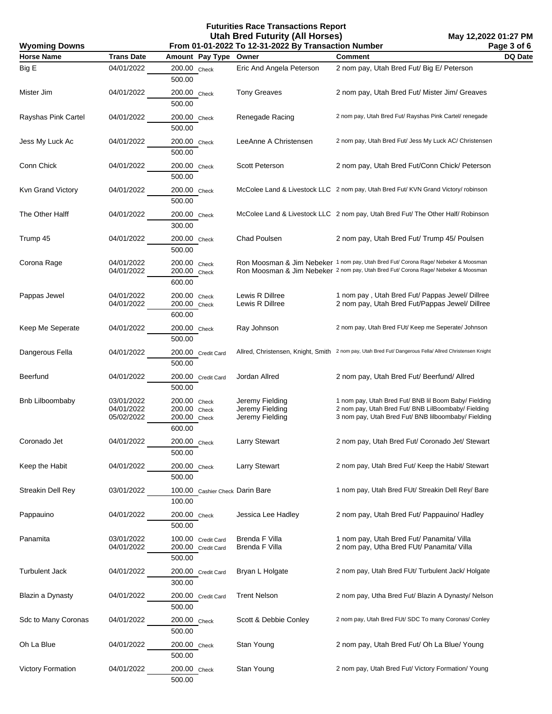| <b>Wyoming Downs</b>     |                                        |                                                          | Page 3 of 6<br>From 01-01-2022 To 12-31-2022 By Transaction Number |                                                                                                                                                                          |         |
|--------------------------|----------------------------------------|----------------------------------------------------------|--------------------------------------------------------------------|--------------------------------------------------------------------------------------------------------------------------------------------------------------------------|---------|
| <b>Horse Name</b>        | <b>Trans Date</b>                      | Amount Pay Type                                          | Owner                                                              | <b>Comment</b>                                                                                                                                                           | DQ Date |
| Big E                    | 04/01/2022                             | 200.00 Check<br>500.00                                   | Eric And Angela Peterson                                           | 2 nom pay, Utah Bred Fut/ Big E/ Peterson                                                                                                                                |         |
| Mister Jim               | 04/01/2022                             | 200.00 Check<br>500.00                                   | <b>Tony Greaves</b>                                                | 2 nom pay, Utah Bred Fut/ Mister Jim/ Greaves                                                                                                                            |         |
| Rayshas Pink Cartel      | 04/01/2022                             | 200.00 Check<br>500.00                                   | Renegade Racing                                                    | 2 nom pay, Utah Bred Fut/ Rayshas Pink Cartel/ renegade                                                                                                                  |         |
| Jess My Luck Ac          | 04/01/2022                             | 200.00 Check<br>500.00                                   | LeeAnne A Christensen                                              | 2 nom pay, Utah Bred Fut/ Jess My Luck AC/ Christensen                                                                                                                   |         |
| Conn Chick               | 04/01/2022                             | 200.00 Check<br>500.00                                   | Scott Peterson                                                     | 2 nom pay, Utah Bred Fut/Conn Chick/ Peterson                                                                                                                            |         |
| Kvn Grand Victory        | 04/01/2022                             | 200.00 Check<br>500.00                                   |                                                                    | McColee Land & Livestock LLC 2 nom pay, Utah Bred Fut/ KVN Grand Victory/ robinson                                                                                       |         |
| The Other Halff          | 04/01/2022                             | 200.00 Check<br>300.00                                   |                                                                    | McColee Land & Livestock LLC 2 nom pay, Utah Bred Fut/ The Other Half/ Robinson                                                                                          |         |
| Trump 45                 | 04/01/2022                             | 200.00 Check<br>500.00                                   | Chad Poulsen                                                       | 2 nom pay, Utah Bred Fut/ Trump 45/ Poulsen                                                                                                                              |         |
| Corona Rage              | 04/01/2022<br>04/01/2022               | 200.00 Check<br>200.00 Check<br>600.00                   |                                                                    | Ron Moosman & Jim Nebeker 1 nom pay, Utah Bred Fut/ Corona Rage/ Nebeker & Moosman<br>Ron Moosman & Jim Nebeker 2 nom pay, Utah Bred Fut/ Corona Rage/ Nebeker & Moosman |         |
| Pappas Jewel             | 04/01/2022<br>04/01/2022               | 200.00 Check<br>200.00 Check<br>600.00                   | Lewis R Dillree<br>Lewis R Dillree                                 | 1 nom pay, Utah Bred Fut/ Pappas Jewel/ Dillree<br>2 nom pay, Utah Bred Fut/Pappas Jewel/ Dillree                                                                        |         |
| Keep Me Seperate         | 04/01/2022                             | 200.00 Check<br>500.00                                   | Ray Johnson                                                        | 2 nom pay, Utah Bred FUt/ Keep me Seperate/ Johnson                                                                                                                      |         |
| Dangerous Fella          | 04/01/2022                             | 200.00 Credit Card<br>500.00                             |                                                                    | Allred, Christensen, Knight, Smith 2 nom pay, Utah Bred Fut/Dangerous Fella/ Allred Christensen Knight                                                                   |         |
| Beerfund                 | 04/01/2022                             | 200.00 Credit Card<br>500.00                             | Jordan Allred                                                      | 2 nom pay, Utah Bred Fut/ Beerfund/ Allred                                                                                                                               |         |
| <b>Bnb Lilboombaby</b>   | 03/01/2022<br>04/01/2022<br>05/02/2022 | 200.00 Check<br>200.00 Check<br>$200.00$ Check<br>600.00 | Jeremy Fielding<br>Jeremy Fielding<br>Jeremy Fielding              | 1 nom pay, Utah Bred Fut/ BNB Iil Boom Baby/ Fielding<br>2 nom pay, Utah Bred Fut/ BNB LilBoombaby/ Fielding<br>3 nom pay, Utah Bred Fut/ BNB lilboombaby/ Fielding      |         |
| Coronado Jet             | 04/01/2022                             | 200.00 Check<br>500.00                                   | <b>Larry Stewart</b>                                               | 2 nom pay, Utah Bred Fut/ Coronado Jet/ Stewart                                                                                                                          |         |
| Keep the Habit           | 04/01/2022                             | 200.00 Check<br>500.00                                   | <b>Larry Stewart</b>                                               | 2 nom pay, Utah Bred Fut/ Keep the Habit/ Stewart                                                                                                                        |         |
| <b>Streakin Dell Rey</b> | 03/01/2022                             | 100.00 Cashier Check Darin Bare<br>100.00                |                                                                    | 1 nom pay, Utah Bred FUt/ Streakin Dell Rey/ Bare                                                                                                                        |         |
| Pappauino                | 04/01/2022                             | 200.00 Check<br>500.00                                   | Jessica Lee Hadley                                                 | 2 nom pay, Utah Bred Fut/ Pappauino/ Hadley                                                                                                                              |         |
| Panamita                 | 03/01/2022<br>04/01/2022               | 100.00 Credit Card<br>200.00 Credit Card<br>500.00       | Brenda F Villa<br>Brenda F Villa                                   | 1 nom pay, Utah Bred Fut/ Panamita/ Villa<br>2 nom pay, Utha Bred FUt/ Panamita/ Villa                                                                                   |         |
| <b>Turbulent Jack</b>    | 04/01/2022                             | 200.00 Credit Card<br>300.00                             | Bryan L Holgate                                                    | 2 nom pay, Utah Bred FUt/ Turbulent Jack/ Holgate                                                                                                                        |         |
| Blazin a Dynasty         | 04/01/2022                             | 200.00 Credit Card<br>500.00                             | <b>Trent Nelson</b>                                                | 2 nom pay, Utha Bred Fut/ Blazin A Dynasty/ Nelson                                                                                                                       |         |
| Sdc to Many Coronas      | 04/01/2022                             | 200.00 Check<br>500.00                                   | Scott & Debbie Conley                                              | 2 nom pay, Utah Bred FUt/ SDC To many Coronas/ Conley                                                                                                                    |         |
| Oh La Blue               | 04/01/2022                             | 200.00 Check<br>500.00                                   | Stan Young                                                         | 2 nom pay, Utah Bred Fut/ Oh La Blue/ Young                                                                                                                              |         |
| <b>Victory Formation</b> | 04/01/2022                             | 200.00 Check<br>500.00                                   | Stan Young                                                         | 2 nom pay, Utah Bred Fut/ Victory Formation/ Young                                                                                                                       |         |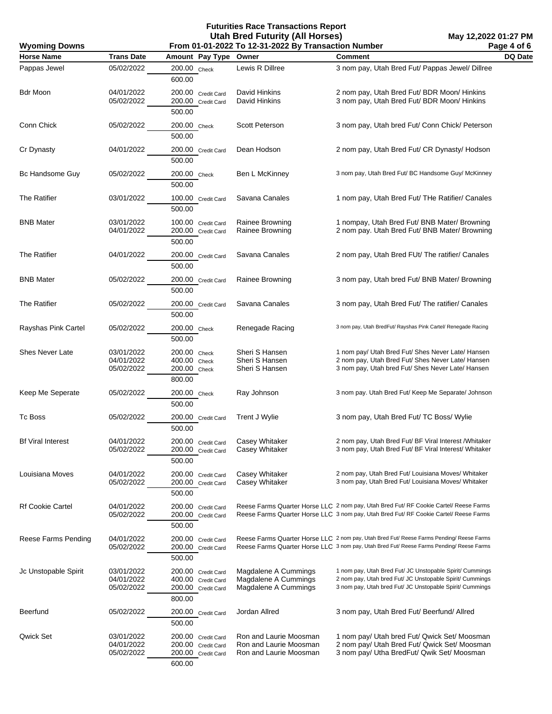| From 01-01-2022 To 12-31-2022 By Transaction Number<br><b>Wyoming Downs</b> |                                        |                                                                          |                                                                            |                                                                                                                                                                                      | Page 4 of 6 |
|-----------------------------------------------------------------------------|----------------------------------------|--------------------------------------------------------------------------|----------------------------------------------------------------------------|--------------------------------------------------------------------------------------------------------------------------------------------------------------------------------------|-------------|
| <b>Horse Name</b>                                                           | <b>Trans Date</b>                      | Amount Pay Type                                                          | Owner                                                                      | <b>Comment</b>                                                                                                                                                                       | DQ Date     |
| Pappas Jewel                                                                | 05/02/2022                             | 200.00 Check<br>600.00                                                   | Lewis R Dillree                                                            | 3 nom pay, Utah Bred Fut/ Pappas Jewel/ Dillree                                                                                                                                      |             |
| Bdr Moon                                                                    | 04/01/2022<br>05/02/2022               | 200.00 Credit Card<br>200.00 Credit Card<br>500.00                       | David Hinkins<br>David Hinkins                                             | 2 nom pay, Utah Bred Fut/ BDR Moon/ Hinkins<br>3 nom pay, Utah Bred Fut/ BDR Moon/ Hinkins                                                                                           |             |
| Conn Chick                                                                  | 05/02/2022                             | 200.00 Check<br>500.00                                                   | <b>Scott Peterson</b>                                                      | 3 nom pay, Utah bred Fut/ Conn Chick/ Peterson                                                                                                                                       |             |
| Cr Dynasty                                                                  | 04/01/2022                             | 200.00 Credit Card<br>500.00                                             | Dean Hodson                                                                | 2 nom pay, Utah Bred Fut/ CR Dynasty/ Hodson                                                                                                                                         |             |
| Bc Handsome Guy                                                             | 05/02/2022                             | 200.00 Check<br>500.00                                                   | Ben L McKinney                                                             | 3 nom pay, Utah Bred Fut/ BC Handsome Guy/ McKinney                                                                                                                                  |             |
| <b>The Ratifier</b>                                                         | 03/01/2022                             | 100.00 Credit Card<br>500.00                                             | Savana Canales                                                             | 1 nom pay, Utah Bred Fut/ THe Ratifier/ Canales                                                                                                                                      |             |
| <b>BNB Mater</b>                                                            | 03/01/2022<br>04/01/2022               | 100.00 Credit Card<br>200.00 Credit Card<br>500.00                       | Rainee Browning<br>Rainee Browning                                         | 1 nompay, Utah Bred Fut/ BNB Mater/ Browning<br>2 nom pay. Utah Bred Fut/ BNB Mater/ Browning                                                                                        |             |
| <b>The Ratifier</b>                                                         | 04/01/2022                             | 200.00 Credit Card<br>500.00                                             | Savana Canales                                                             | 2 nom pay, Utah Bred FUt/ The ratifier/ Canales                                                                                                                                      |             |
| <b>BNB Mater</b>                                                            | 05/02/2022                             | 200.00 Credit Card<br>500.00                                             | Rainee Browning                                                            | 3 nom pay, Utah bred Fut/ BNB Mater/ Browning                                                                                                                                        |             |
| <b>The Ratifier</b>                                                         | 05/02/2022                             | 200.00 Credit Card<br>500.00                                             | Savana Canales                                                             | 3 nom pay, Utah Bred Fut/ The ratifier/ Canales                                                                                                                                      |             |
| Rayshas Pink Cartel                                                         | 05/02/2022                             | 200.00 Check<br>500.00                                                   | Renegade Racing                                                            | 3 nom pay, Utah BredFut/ Rayshas Pink Cartel/ Renegade Racing                                                                                                                        |             |
| Shes Never Late                                                             | 03/01/2022<br>04/01/2022<br>05/02/2022 | 200.00 Check<br>400.00 Check<br>200.00 Check<br>800.00                   | Sheri S Hansen<br>Sheri S Hansen<br>Sheri S Hansen                         | 1 nom pay/ Utah Bred Fut/ Shes Never Late/ Hansen<br>2 nom pay, Utah Bred Fut/ Shes Never Late/ Hansen<br>3 nom pay, Utah bred Fut/ Shes Never Late/ Hansen                          |             |
| Keep Me Seperate                                                            | 05/02/2022                             | 200.00 Check<br>500.00                                                   | Ray Johnson                                                                | 3 nom pay. Utah Bred Fut/ Keep Me Separate/ Johnson                                                                                                                                  |             |
| Tc Boss                                                                     | 05/02/2022                             | 200.00 Credit Card<br>500.00                                             | Trent J Wylie                                                              | 3 nom pay, Utah Bred Fut/ TC Boss/ Wylie                                                                                                                                             |             |
| <b>Bf Viral Interest</b>                                                    | 04/01/2022<br>05/02/2022               | 200.00 Credit Card<br>200.00 Credit Card<br>500.00                       | <b>Casey Whitaker</b><br>Casey Whitaker                                    | 2 nom pay, Utah Bred Fut/ BF Viral Interest / Whitaker<br>3 nom pay, Utah Bred Fut/ BF Viral Interest/ Whitaker                                                                      |             |
| Louisiana Moves                                                             | 04/01/2022<br>05/02/2022               | 200.00 Credit Card<br>200.00 Credit Card<br>500.00                       | Casey Whitaker<br><b>Casey Whitaker</b>                                    | 2 nom pay, Utah Bred Fut/ Louisiana Moves/ Whitaker<br>3 nom pay, Utah Bred Fut/ Louisiana Moves/ Whitaker                                                                           |             |
| <b>Rf Cookie Cartel</b>                                                     | 04/01/2022<br>05/02/2022               | 200.00 Credit Card<br>200.00 Credit Card<br>500.00                       |                                                                            | Reese Farms Quarter Horse LLC 2 nom pay, Utah Bred Fut/ RF Cookie Cartel/ Reese Farms<br>Reese Farms Quarter Horse LLC 3 nom pay, Utah Bred Fut/ RF Cookie Cartel/ Reese Farms       |             |
| Reese Farms Pending                                                         | 04/01/2022<br>05/02/2022               | 200.00 Credit Card<br>200.00 Credit Card<br>500.00                       |                                                                            | Reese Farms Quarter Horse LLC 2 nom pay, Utah Bred Fut/ Reese Farms Pending/ Reese Farms<br>Reese Farms Quarter Horse LLC 3 nom pay, Utah Bred Fut/ Reese Farms Pending/ Reese Farms |             |
| Jc Unstopable Spirit                                                        | 03/01/2022<br>04/01/2022<br>05/02/2022 | 200.00 Credit Card<br>400.00 Credit Card<br>200.00 Credit Card<br>800.00 | Magdalene A Cummings<br>Magdalene A Cummings<br>Magdalene A Cummings       | 1 nom pay, Utah Bred Fut/ JC Unstopable Spirit/ Cummings<br>2 nom pay, Utah bred Fut/ JC Unstopable Spirit/ Cummings<br>3 nom pay, Utah bred Fut/ JC Unstopable Spirit/ Cummings     |             |
| <b>Beerfund</b>                                                             | 05/02/2022                             | 200.00 Credit Card<br>500.00                                             | Jordan Allred                                                              | 3 nom pay, Utah Bred Fut/ Beerfund/ Allred                                                                                                                                           |             |
| Qwick Set                                                                   | 03/01/2022<br>04/01/2022<br>05/02/2022 | 200.00 Credit Card<br>200.00 Credit Card<br>200.00 Credit Card<br>600.00 | Ron and Laurie Moosman<br>Ron and Laurie Moosman<br>Ron and Laurie Moosman | 1 nom pay/ Utah bred Fut/ Qwick Set/ Moosman<br>2 nom pay/ Utah Bred Fut/ Qwick Set/ Moosman<br>3 nom pay/ Utha BredFut/ Qwik Set/ Moosman                                           |             |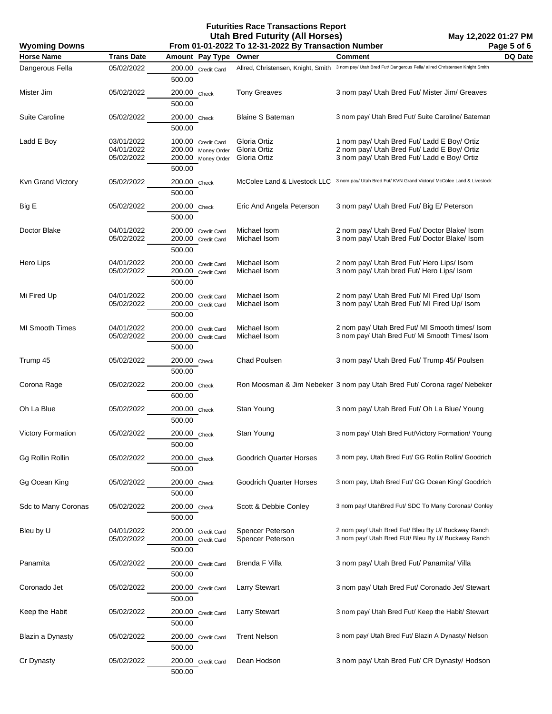| <b>Wyoming Downs</b>     | Page 5 of 6<br>From 01-01-2022 To 12-31-2022 By Transaction Number |                                                                          |                                              |                                                                                                                                           |         |
|--------------------------|--------------------------------------------------------------------|--------------------------------------------------------------------------|----------------------------------------------|-------------------------------------------------------------------------------------------------------------------------------------------|---------|
| <b>Horse Name</b>        | <b>Trans Date</b>                                                  | Amount Pay Type                                                          | Owner                                        | <b>Comment</b>                                                                                                                            | DQ Date |
| Dangerous Fella          | 05/02/2022                                                         | 200.00 Credit Card<br>500.00                                             | Allred, Christensen, Knight, Smith           | 3 nom pay/ Utah Bred Fut/ Dangerous Fella/ allred Christensen Knight Smith                                                                |         |
| Mister Jim               | 05/02/2022                                                         | 200.00 Check<br>500.00                                                   | <b>Tony Greaves</b>                          | 3 nom pay/ Utah Bred Fut/ Mister Jim/ Greaves                                                                                             |         |
| <b>Suite Caroline</b>    | 05/02/2022                                                         | 200.00 Check<br>500.00                                                   | <b>Blaine S Bateman</b>                      | 3 nom pay/ Utah Bred Fut/ Suite Caroline/ Bateman                                                                                         |         |
| Ladd E Boy               | 03/01/2022<br>04/01/2022<br>05/02/2022                             | 100.00 Credit Card<br>200.00 Money Order<br>200.00 Money Order<br>500.00 | Gloria Ortiz<br>Gloria Ortiz<br>Gloria Ortiz | 1 nom pay/ Utah Bred Fut/ Ladd E Boy/ Ortiz<br>2 nom pay/ Utah Bred Fut/ Ladd E Boy/ Ortiz<br>3 nom pay/ Utah Bred Fut/ Ladd e Boy/ Ortiz |         |
| Kvn Grand Victory        | 05/02/2022                                                         | 200.00 Check<br>500.00                                                   |                                              | McColee Land & Livestock LLC 3 nom pay/ Utah Bred Fut/ KVN Grand Victory/ McColee Land & Livestock                                        |         |
| Big E                    | 05/02/2022                                                         | 200.00 Check<br>500.00                                                   | Eric And Angela Peterson                     | 3 nom pay/ Utah Bred Fut/ Big E/ Peterson                                                                                                 |         |
| Doctor Blake             | 04/01/2022<br>05/02/2022                                           | 200.00 Credit Card<br>200.00 Credit Card<br>500.00                       | Michael Isom<br>Michael Isom                 | 2 nom pay/ Utah Bred Fut/ Doctor Blake/ Isom<br>3 nom pay/ Utah Bred Fut/ Doctor Blake/ Isom                                              |         |
| Hero Lips                | 04/01/2022<br>05/02/2022                                           | 200.00 Credit Card<br>200.00 Credit Card<br>500.00                       | Michael Isom<br>Michael Isom                 | 2 nom pay/ Utah Bred Fut/ Hero Lips/ Isom<br>3 nom pay/ Utah bred Fut/ Hero Lips/ Isom                                                    |         |
| Mi Fired Up              | 04/01/2022<br>05/02/2022                                           | 200.00 Credit Card<br>200.00 Credit Card<br>500.00                       | Michael Isom<br>Michael Isom                 | 2 nom pay/ Utah Bred Fut/ MI Fired Up/ Isom<br>3 nom pay/ Utah Bred Fut/ MI Fired Up/ Isom                                                |         |
| <b>MI Smooth Times</b>   | 04/01/2022<br>05/02/2022                                           | 200.00 Credit Card<br>200.00 Credit Card<br>500.00                       | Michael Isom<br>Michael Isom                 | 2 nom pay/ Utah Bred Fut/ MI Smooth times/ Isom<br>3 nom pay/ Utah Bred Fut/ Mi Smooth Times/ Isom                                        |         |
| Trump 45                 | 05/02/2022                                                         | 200.00 Check<br>500.00                                                   | Chad Poulsen                                 | 3 nom pay/ Utah Bred Fut/ Trump 45/ Poulsen                                                                                               |         |
| Corona Rage              | 05/02/2022                                                         | 200.00 Check<br>600.00                                                   |                                              | Ron Moosman & Jim Nebeker 3 nom pay Utah Bred Fut/ Corona rage/ Nebeker                                                                   |         |
| Oh La Blue               | 05/02/2022                                                         | 200.00 Check<br>500.00                                                   | Stan Young                                   | 3 nom pay/ Utah Bred Fut/ Oh La Blue/ Young                                                                                               |         |
| <b>Victory Formation</b> | 05/02/2022                                                         | 200.00 Check<br>500.00                                                   | Stan Young                                   | 3 nom pay/ Utah Bred Fut/Victory Formation/ Young                                                                                         |         |
| Gg Rollin Rollin         | 05/02/2022                                                         | 200.00 Check<br>500.00                                                   | <b>Goodrich Quarter Horses</b>               | 3 nom pay, Utah Bred Fut/ GG Rollin Rollin/ Goodrich                                                                                      |         |
| Gg Ocean King            | 05/02/2022                                                         | 200.00 Check<br>500.00                                                   | <b>Goodrich Quarter Horses</b>               | 3 nom pay, Utah Bred Fut/ GG Ocean King/ Goodrich                                                                                         |         |
| Sdc to Many Coronas      | 05/02/2022                                                         | 200.00 Check<br>500.00                                                   | Scott & Debbie Conley                        | 3 nom pay/ UtahBred Fut/ SDC To Many Coronas/ Conley                                                                                      |         |
| Bleu by U                | 04/01/2022<br>05/02/2022                                           | 200.00 Credit Card<br>200.00 Credit Card<br>500.00                       | Spencer Peterson<br>Spencer Peterson         | 2 nom pay/ Utah Bred Fut/ Bleu By U/ Buckway Ranch<br>3 nom pay/ Utah Bred FUt/ Bleu By U/ Buckway Ranch                                  |         |
| Panamita                 | 05/02/2022                                                         | 200.00 Credit Card<br>500.00                                             | Brenda F Villa                               | 3 nom pay/ Utah Bred Fut/ Panamita/ Villa                                                                                                 |         |
| Coronado Jet             | 05/02/2022                                                         | 200.00 Credit Card<br>500.00                                             | <b>Larry Stewart</b>                         | 3 nom pay/ Utah Bred Fut/ Coronado Jet/ Stewart                                                                                           |         |
| Keep the Habit           | 05/02/2022                                                         | 200.00 Credit Card<br>500.00                                             | <b>Larry Stewart</b>                         | 3 nom pay/ Utah Bred Fut/ Keep the Habit/ Stewart                                                                                         |         |
| Blazin a Dynasty         | 05/02/2022                                                         | 200.00 Credit Card<br>500.00                                             | <b>Trent Nelson</b>                          | 3 nom pay/ Utah Bred Fut/ Blazin A Dynasty/ Nelson                                                                                        |         |
| Cr Dynasty               | 05/02/2022                                                         | 200.00 Credit Card<br>500.00                                             | Dean Hodson                                  | 3 nom pay/ Utah Bred Fut/ CR Dynasty/ Hodson                                                                                              |         |